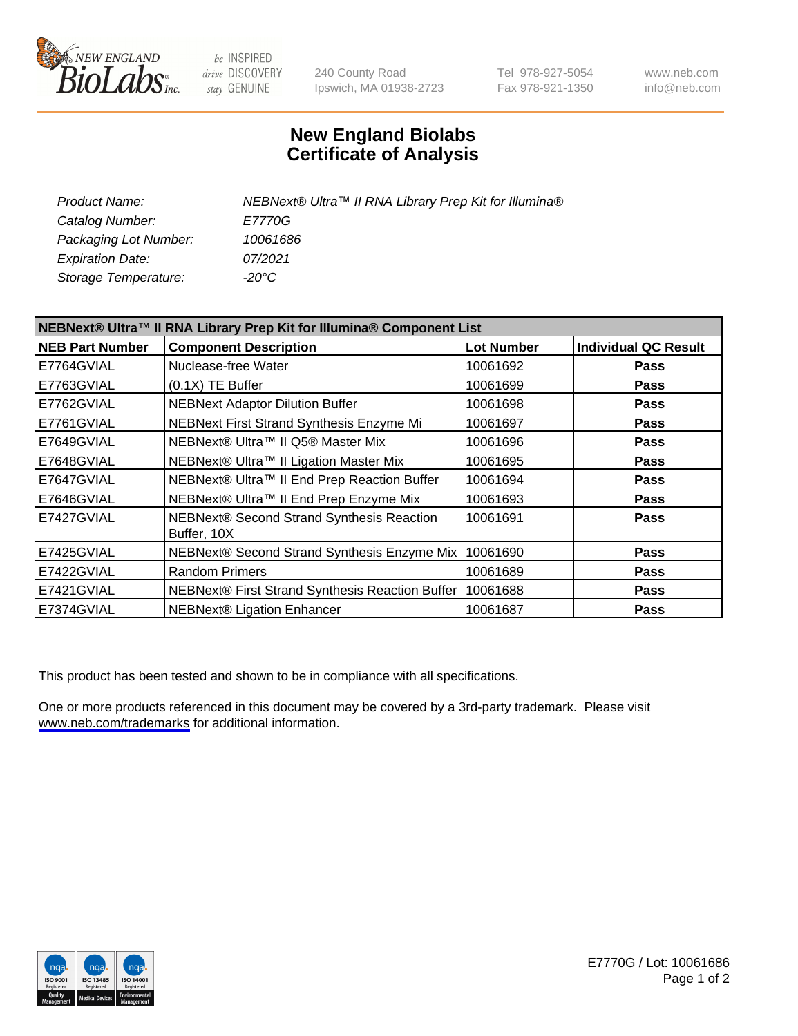

be INSPIRED drive DISCOVERY stay GENUINE

240 County Road Ipswich, MA 01938-2723 Tel 978-927-5054 Fax 978-921-1350

www.neb.com info@neb.com

## **New England Biolabs Certificate of Analysis**

| <b>Product Name:</b>    | NEBNext® Ultra™ II RNA Library Prep Kit for Illumina® |
|-------------------------|-------------------------------------------------------|
| Catalog Number:         | <i>E7770G</i>                                         |
| Packaging Lot Number:   | 10061686                                              |
| <b>Expiration Date:</b> | 07/2021                                               |
| Storage Temperature:    | -20°C                                                 |

| NEBNext® Ultra™ II RNA Library Prep Kit for Illumina® Component List |                                                          |                   |                             |  |
|----------------------------------------------------------------------|----------------------------------------------------------|-------------------|-----------------------------|--|
| <b>NEB Part Number</b>                                               | <b>Component Description</b>                             | <b>Lot Number</b> | <b>Individual QC Result</b> |  |
| E7764GVIAL                                                           | Nuclease-free Water                                      | 10061692          | <b>Pass</b>                 |  |
| E7763GVIAL                                                           | $(0.1X)$ TE Buffer                                       | 10061699          | <b>Pass</b>                 |  |
| E7762GVIAL                                                           | <b>NEBNext Adaptor Dilution Buffer</b>                   | 10061698          | <b>Pass</b>                 |  |
| E7761GVIAL                                                           | NEBNext First Strand Synthesis Enzyme Mi                 | 10061697          | <b>Pass</b>                 |  |
| E7649GVIAL                                                           | NEBNext® Ultra™ II Q5® Master Mix                        | 10061696          | <b>Pass</b>                 |  |
| E7648GVIAL                                                           | NEBNext® Ultra™ II Ligation Master Mix                   | 10061695          | <b>Pass</b>                 |  |
| E7647GVIAL                                                           | NEBNext® Ultra™ II End Prep Reaction Buffer              | 10061694          | <b>Pass</b>                 |  |
| E7646GVIAL                                                           | NEBNext® Ultra™ II End Prep Enzyme Mix                   | 10061693          | <b>Pass</b>                 |  |
| E7427GVIAL                                                           | NEBNext® Second Strand Synthesis Reaction<br>Buffer, 10X | 10061691          | Pass                        |  |
| E7425GVIAL                                                           | NEBNext® Second Strand Synthesis Enzyme Mix              | 10061690          | <b>Pass</b>                 |  |
| E7422GVIAL                                                           | <b>Random Primers</b>                                    | 10061689          | <b>Pass</b>                 |  |
| E7421GVIAL                                                           | NEBNext® First Strand Synthesis Reaction Buffer          | 10061688          | <b>Pass</b>                 |  |
| E7374GVIAL                                                           | <b>NEBNext® Ligation Enhancer</b>                        | 10061687          | <b>Pass</b>                 |  |

This product has been tested and shown to be in compliance with all specifications.

One or more products referenced in this document may be covered by a 3rd-party trademark. Please visit <www.neb.com/trademarks>for additional information.